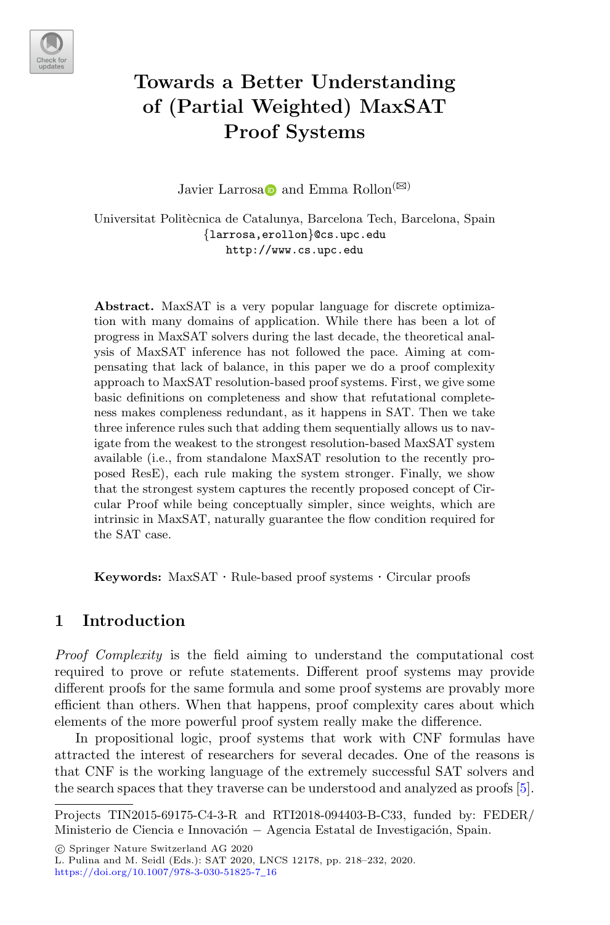

# **Towards a Better Understanding of (Partial Weighted) MaxSAT Proof Systems**

J[a](http://orcid.org/0000-0002-8322-0505)vier Larrosa and Emma Rollon<sup>( $\boxtimes$ )</sup>

Universitat Politècnica de Catalunya, Barcelona Tech, Barcelona, Spain *{*larrosa,erollon*}*@cs.upc.edu http://www.cs.upc.edu

**Abstract.** MaxSAT is a very popular language for discrete optimization with many domains of application. While there has been a lot of progress in MaxSAT solvers during the last decade, the theoretical analysis of MaxSAT inference has not followed the pace. Aiming at compensating that lack of balance, in this paper we do a proof complexity approach to MaxSAT resolution-based proof systems. First, we give some basic definitions on completeness and show that refutational completeness makes compleness redundant, as it happens in SAT. Then we take three inference rules such that adding them sequentially allows us to navigate from the weakest to the strongest resolution-based MaxSAT system available (i.e., from standalone MaxSAT resolution to the recently proposed ResE), each rule making the system stronger. Finally, we show that the strongest system captures the recently proposed concept of Circular Proof while being conceptually simpler, since weights, which are intrinsic in MaxSAT, naturally guarantee the flow condition required for the SAT case.

**Keywords:** MaxSAT · Rule-based proof systems · Circular proofs

# **1 Introduction**

*Proof Complexity* is the field aiming to understand the computational cost required to prove or refute statements. Different proof systems may provide different proofs for the same formula and some proof systems are provably more efficient than others. When that happens, proof complexity cares about which elements of the more powerful proof system really make the difference.

In propositional logic, proof systems that work with CNF formulas have attracted the interest of researchers for several decades. One of the reasons is that CNF is the working language of the extremely successful SAT solvers and the search spaces that they traverse can be understood and analyzed as proofs [\[5\]](#page-14-0).

-c Springer Nature Switzerland AG 2020

Projects TIN2015-69175-C4-3-R and RTI2018-094403-B-C33, funded by: FEDER/ Ministerio de Ciencia e Innovación *−* Agencia Estatal de Investigación, Spain.

L. Pulina and M. Seidl (Eds.): SAT 2020, LNCS 12178, pp. 218–232, 2020. [https://doi.org/10.1007/978-3-030-51825-7](https://doi.org/10.1007/978-3-030-51825-7_16)\_16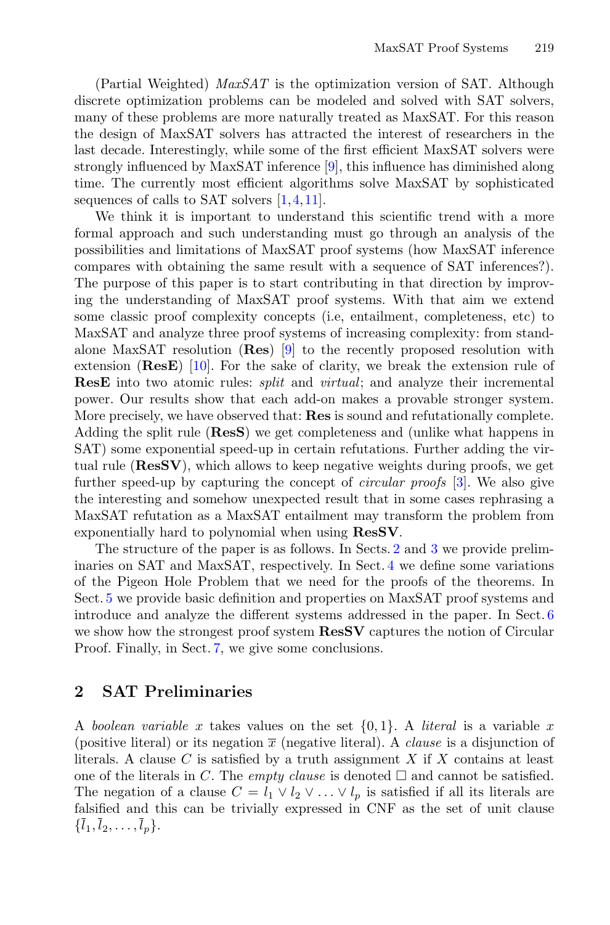(Partial Weighted) *MaxSAT* is the optimization version of SAT. Although discrete optimization problems can be modeled and solved with SAT solvers, many of these problems are more naturally treated as MaxSAT. For this reason the design of MaxSAT solvers has attracted the interest of researchers in the last decade. Interestingly, while some of the first efficient MaxSAT solvers were strongly influenced by MaxSAT inference [\[9](#page-14-1)], this influence has diminished along time. The currently most efficient algorithms solve MaxSAT by sophisticated sequences of calls to SAT solvers [\[1](#page-14-2),[4,](#page-14-3)[11\]](#page-14-4).

We think it is important to understand this scientific trend with a more formal approach and such understanding must go through an analysis of the possibilities and limitations of MaxSAT proof systems (how MaxSAT inference compares with obtaining the same result with a sequence of SAT inferences?). The purpose of this paper is to start contributing in that direction by improving the understanding of MaxSAT proof systems. With that aim we extend some classic proof complexity concepts (i.e, entailment, completeness, etc) to MaxSAT and analyze three proof systems of increasing complexity: from standalone MaxSAT resolution (**Res**) [\[9](#page-14-1)] to the recently proposed resolution with extension (**ResE**) [\[10](#page-14-5)]. For the sake of clarity, we break the extension rule of **ResE** into two atomic rules: *split* and *virtual*; and analyze their incremental power. Our results show that each add-on makes a provable stronger system. More precisely, we have observed that: **Res** is sound and refutationally complete. Adding the split rule (**ResS**) we get completeness and (unlike what happens in SAT) some exponential speed-up in certain refutations. Further adding the virtual rule (**ResSV**), which allows to keep negative weights during proofs, we get further speed-up by capturing the concept of *circular proofs* [\[3\]](#page-14-6). We also give the interesting and somehow unexpected result that in some cases rephrasing a MaxSAT refutation as a MaxSAT entailment may transform the problem from exponentially hard to polynomial when using **ResSV**.

The structure of the paper is as follows. In Sects. [2](#page-1-0) and [3](#page-3-0) we provide preliminaries on SAT and MaxSAT, respectively. In Sect. [4](#page-3-1) we define some variations of the Pigeon Hole Problem that we need for the proofs of the theorems. In Sect. [5](#page-4-0) we provide basic definition and properties on MaxSAT proof systems and introduce and analyze the different systems addressed in the paper. In Sect. [6](#page-10-0) we show how the strongest proof system **ResSV** captures the notion of Circular Proof. Finally, in Sect. [7,](#page-13-0) we give some conclusions.

### <span id="page-1-0"></span>**2 SAT Preliminaries**

A *boolean variable* x takes values on the set  $\{0, 1\}$ . A *literal* is a variable x (positive literal) or its negation  $\bar{x}$  (negative literal). A *clause* is a disjunction of literals. A clause  $C$  is satisfied by a truth assignment  $X$  if  $X$  contains at least one of the literals in C. The *empty clause* is denoted  $\Box$  and cannot be satisfied. The negation of a clause  $C = l_1 \vee l_2 \vee \ldots \vee l_p$  is satisfied if all its literals are falsified and this can be trivially expressed in CNF as the set of unit clause  $\{l_1, l_2, \ldots, l_p\}.$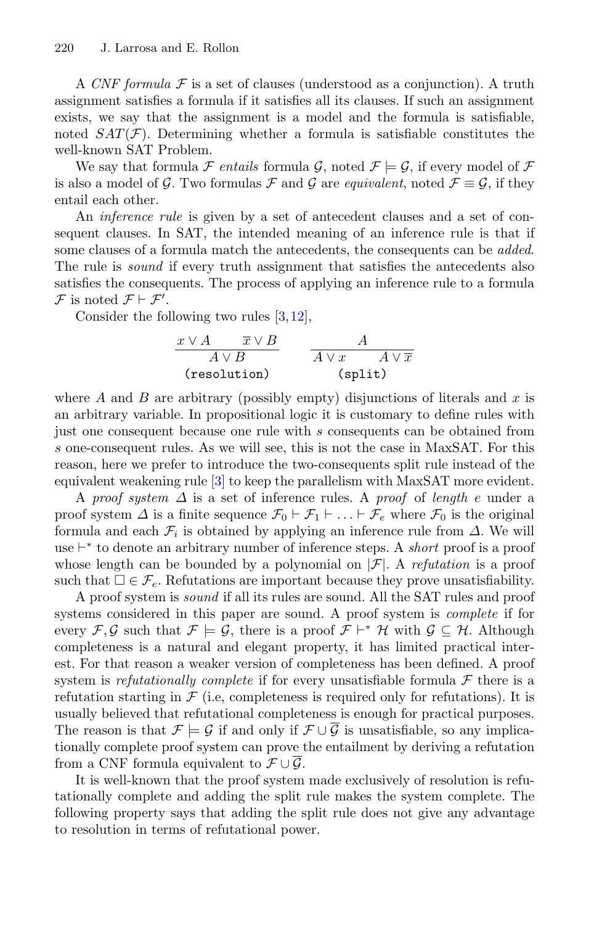A *CNF formula*  $\mathcal F$  is a set of clauses (understood as a conjunction). A truth assignment satisfies a formula if it satisfies all its clauses. If such an assignment exists, we say that the assignment is a model and the formula is satisfiable, noted  $SAT(\mathcal{F})$ . Determining whether a formula is satisfiable constitutes the well-known SAT Problem.

We say that formula F *entails* formula G, noted  $\mathcal{F} \models \mathcal{G}$ , if every model of F is also a model of G. Two formulas F and G are *equivalent*, noted  $\mathcal{F} \equiv \mathcal{G}$ , if they entail each other.

An *inference rule* is given by a set of antecedent clauses and a set of consequent clauses. In SAT, the intended meaning of an inference rule is that if some clauses of a formula match the antecedents, the consequents can be *added*. The rule is *sound* if every truth assignment that satisfies the antecedents also satisfies the consequents. The process of applying an inference rule to a formula  $\mathcal{F}$  is noted  $\mathcal{F} \vdash \mathcal{F}'$ .

Consider the following two rules [\[3,](#page-14-6)[12](#page-14-7)],

$$
\begin{array}{cc}\n\frac{x \vee A & \overline{x} \vee B \\
\hline\nA \vee B & & A \vee x \\
\hline\n\text{(resolution)} & & \text{(split)}\n\end{array}
$$

where A and B are arbitrary (possibly empty) disjunctions of literals and x is an arbitrary variable. In propositional logic it is customary to define rules with just one consequent because one rule with s consequents can be obtained from s one-consequent rules. As we will see, this is not the case in MaxSAT. For this reason, here we prefer to introduce the two-consequents split rule instead of the equivalent weakening rule [\[3\]](#page-14-6) to keep the parallelism with MaxSAT more evident.

A *proof system* Δ is a set of inference rules. A *proof* of *length* e under a proof system  $\Delta$  is a finite sequence  $\mathcal{F}_0 \vdash \mathcal{F}_1 \vdash \ldots \vdash \mathcal{F}_e$  where  $\mathcal{F}_0$  is the original formula and each  $\mathcal{F}_i$  is obtained by applying an inference rule from  $\Delta$ . We will use <sup>⊦</sup>\* to denote an arbitrary number of inference steps. A *short* proof is a proof whose length can be bounded by a polynomial on  $|\mathcal{F}|$ . A *refutation* is a proof such that  $\square \in \mathcal{F}_e$ . Refutations are important because they prove unsatisfiability.

A proof system is *sound* if all its rules are sound. All the SAT rules and proof systems considered in this paper are sound. A proof system is *complete* if for every F, G such that  $\mathcal{F} \models \mathcal{G}$ , there is a proof  $\mathcal{F} \models^* \mathcal{H}$  with  $\mathcal{G} \subseteq \mathcal{H}$ . Although completeness is a natural and elegant property, it has limited practical interest. For that reason a weaker version of completeness has been defined. A proof system is *refutationally complete* if for every unsatisfiable formula  $\mathcal F$  there is a refutation starting in  $\mathcal F$  (i.e., completeness is required only for refutations). It is usually believed that refutational completeness is enough for practical purposes. The reason is that  $\mathcal{F} \models \mathcal{G}$  if and only if  $\mathcal{F} \cup \overline{\mathcal{G}}$  is unsatisfiable, so any implicationally complete proof system can prove the entailment by deriving a refutation from a CNF formula equivalent to  $\mathcal{F} \cup \overline{\mathcal{G}}$ .

<span id="page-2-0"></span>It is well-known that the proof system made exclusively of resolution is refutationally complete and adding the split rule makes the system complete. The following property says that adding the split rule does not give any advantage to resolution in terms of refutational power.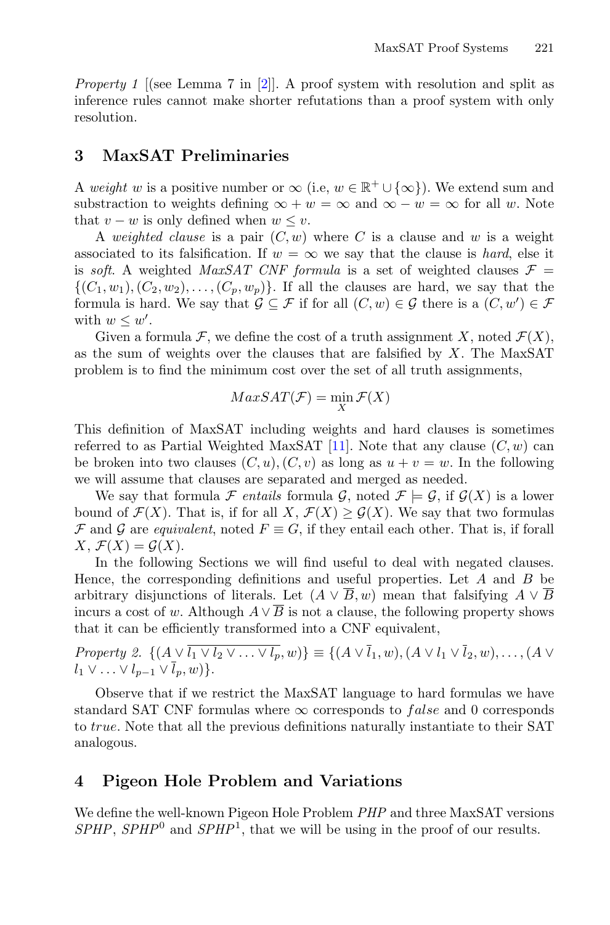*Property 1* [(see Lemma 7 in [\[2](#page-14-8)]]. A proof system with resolution and split as inference rules cannot make shorter refutations than a proof system with only resolution.

## <span id="page-3-0"></span>**3 MaxSAT Preliminaries**

A *weight* w is a positive number or  $\infty$  (i.e,  $w \in \mathbb{R}^+ \cup \{\infty\}$ ). We extend sum and substraction to weights defining  $\infty + w = \infty$  and  $\infty - w = \infty$  for all w. Note that  $v - w$  is only defined when  $w \leq v$ .

A *weighted clause* is a pair  $(C, w)$  where C is a clause and w is a weight associated to its falsification. If  $w = \infty$  we say that the clause is *hard*, else it is *soft*. A weighted *MaxSAT CNF formula* is a set of weighted clauses  $\mathcal{F} =$  $\{(C_1, w_1), (C_2, w_2), \ldots, (C_n, w_n)\}\$ . If all the clauses are hard, we say that the formula is hard. We say that  $\mathcal{G} \subseteq \mathcal{F}$  if for all  $(C, w) \in \mathcal{G}$  there is a  $(C, w') \in \mathcal{F}$ with  $w \leq w'$ .

Given a formula  $\mathcal F$ , we define the cost of a truth assignment X, noted  $\mathcal F(X)$ , as the sum of weights over the clauses that are falsified by  $X$ . The MaxSAT problem is to find the minimum cost over the set of all truth assignments,

$$
MaxSAT(\mathcal{F}) = \min_{X} \mathcal{F}(X)
$$

This definition of MaxSAT including weights and hard clauses is sometimes referred to as Partial Weighted MaxSAT [\[11](#page-14-4)]. Note that any clause  $(C, w)$  can be broken into two clauses  $(C, u), (C, v)$  as long as  $u + v = w$ . In the following we will assume that clauses are separated and merged as needed.

We say that formula F *entails* formula G, noted  $\mathcal{F} \models \mathcal{G}$ , if  $\mathcal{G}(X)$  is a lower bound of  $\mathcal{F}(X)$ . That is, if for all  $X, \mathcal{F}(X) \geq \mathcal{G}(X)$ . We say that two formulas F and G are *equivalent*, noted  $F \equiv G$ , if they entail each other. That is, if forall  $X, \mathcal{F}(X) = \mathcal{G}(X).$ 

In the following Sections we will find useful to deal with negated clauses. Hence, the corresponding definitions and useful properties. Let  $A$  and  $B$  be arbitrary disjunctions of literals. Let  $(A \vee \overline{B}, w)$  mean that falsifying  $A \vee \overline{B}$ incurs a cost of w. Although  $A \vee \overline{B}$  is not a clause, the following property shows that it can be efficiently transformed into a CNF equivalent,

*Property 2.*  $\{(A \vee \overline{l_1 \vee l_2 \vee \ldots \vee l_p}, w)\} \equiv \{(A \vee \overline{l_1}, w), (A \vee l_1 \vee \overline{l_2}, w), \ldots, (A \vee \overline{l_p}, w)\}$  $l_1 \vee \ldots \vee l_{p-1} \vee \overline{l}_p, w)$ .

Observe that if we restrict the MaxSAT language to hard formulas we have standard SAT CNF formulas where  $\infty$  corresponds to *false* and 0 corresponds to true. Note that all the previous definitions naturally instantiate to their SAT analogous.

### <span id="page-3-1"></span>**4 Pigeon Hole Problem and Variations**

We define the well-known Pigeon Hole Problem *PHP* and three MaxSAT versions *SPHP*, *SPHP*<sup>0</sup> and *SPHP*<sup>1</sup>, that we will be using in the proof of our results.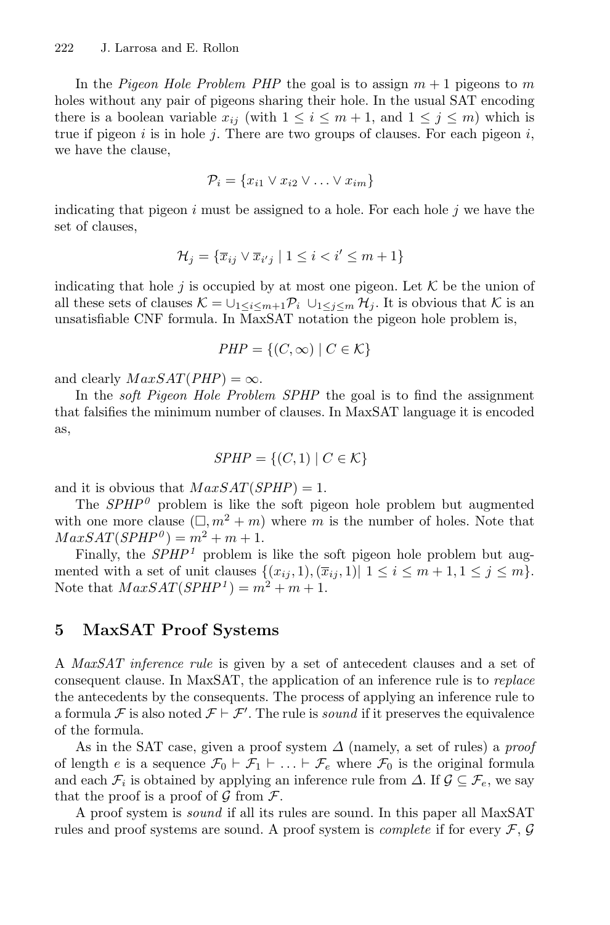In the *Pigeon Hole Problem PHP* the goal is to assign  $m + 1$  pigeons to m holes without any pair of pigeons sharing their hole. In the usual SAT encoding there is a boolean variable  $x_{ij}$  (with  $1 \leq i \leq m+1$ , and  $1 \leq j \leq m$ ) which is true if pigeon  $i$  is in hole  $j$ . There are two groups of clauses. For each pigeon  $i$ , we have the clause,

$$
\mathcal{P}_i = \{x_{i1} \vee x_{i2} \vee \ldots \vee x_{im}\}
$$

indicating that pigeon i must be assigned to a hole. For each hole  $j$  we have the set of clauses,

$$
\mathcal{H}_j = \{ \overline{x}_{ij} \lor \overline{x}_{i'j} \mid 1 \leq i < i' \leq m+1 \}
$$

indicating that hole j is occupied by at most one pigeon. Let  $\mathcal K$  be the union of all these sets of clauses  $\mathcal{K} = \bigcup_{1 \leq i \leq m+1} \mathcal{P}_i \cup_{1 \leq j \leq m} \mathcal{H}_j$ . It is obvious that  $\mathcal{K}$  is an unsatisfiable CNF formula. In MaxSAT notation the pigeon hole problem is,

$$
PHP = \{(C, \infty) \mid C \in \mathcal{K}\}
$$

and clearly  $MaxSAT(PHP) = \infty$ .

In the *soft Pigeon Hole Problem SPHP* the goal is to find the assignment that falsifies the minimum number of clauses. In MaxSAT language it is encoded as,

$$
SPHP = \{ (C, 1) \mid C \in \mathcal{K} \}
$$

and it is obvious that  $MaxSAT(SPHP) = 1$ .

The  $SPHP<sup>0</sup>$  problem is like the soft pigeon hole problem but augmented with one more clause  $(\Box, m^2 + m)$  where m is the number of holes. Note that  $MaxSAT(SPHP^0) = m^2 + m + 1.$ 

Finally, the *SPHP<sup>1</sup>* problem is like the soft pigeon hole problem but augmented with a set of unit clauses  $\{(x_{ij}, 1),(\overline{x}_{ij}, 1)| 1 \leq i \leq m+1, 1 \leq j \leq m\}.$ Note that  $MaxSAT(SPHP^1) = m^2 + m + 1$ .

# <span id="page-4-0"></span>**5 MaxSAT Proof Systems**

A *MaxSAT inference rule* is given by a set of antecedent clauses and a set of consequent clause. In MaxSAT, the application of an inference rule is to *replace* the antecedents by the consequents. The process of applying an inference rule to a formula F is also noted  $\mathcal{F} \vdash \mathcal{F}'$ . The rule is *sound* if it preserves the equivalence of the formula.

As in the SAT case, given a proof system Δ (namely, a set of rules) a *proof* of length e is a sequence  $\mathcal{F}_0 \vdash \mathcal{F}_1 \vdash \ldots \vdash \mathcal{F}_e$  where  $\mathcal{F}_0$  is the original formula and each  $\mathcal{F}_i$  is obtained by applying an inference rule from  $\Delta$ . If  $\mathcal{G} \subseteq \mathcal{F}_e$ , we say that the proof is a proof of  $\mathcal G$  from  $\mathcal F$ .

A proof system is *sound* if all its rules are sound. In this paper all MaxSAT rules and proof systems are sound. A proof system is *complete* if for every  $\mathcal{F}, \mathcal{G}$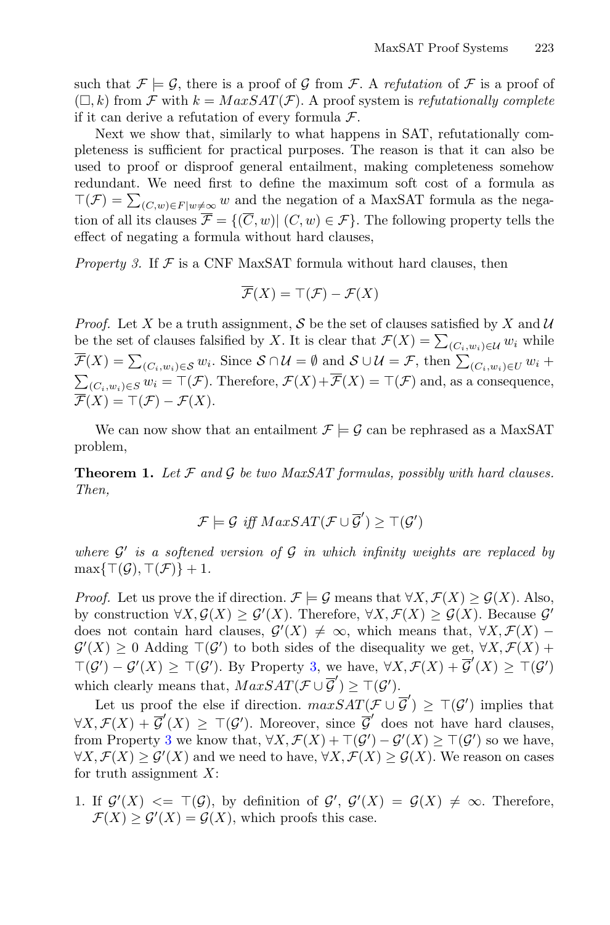such that  $\mathcal{F} \models \mathcal{G}$ , there is a proof of  $\mathcal{G}$  from  $\mathcal{F}$ . A *refutation* of  $\mathcal{F}$  is a proof of  $(\Box, k)$  from  $\mathcal F$  with  $k = MaxSAT(\mathcal F)$ . A proof system is *refutationally complete* if it can derive a refutation of every formula  $\mathcal{F}$ .

Next we show that, similarly to what happens in SAT, refutationally completeness is sufficient for practical purposes. The reason is that it can also be used to proof or disproof general entailment, making completeness somehow redundant. We need first to define the maximum soft cost of a formula as  $\Gamma(\mathcal{F}) = \sum_{(C,w)\in F|w\neq \infty} w$  and the negation of a MaxSAT formula as the negation of all its clauses  $\overline{\mathcal{F}} = \{(\overline{C}, w) | (C, w) \in \mathcal{F}\}\$ . The following property tells the effect of negating a formula without hard clauses,

*Property 3.* If  $F$  is a CNF MaxSAT formula without hard clauses, then

<span id="page-5-0"></span>
$$
\overline{\mathcal{F}}(X) = \top(\mathcal{F}) - \mathcal{F}(X)
$$

*Proof.* Let X be a truth assignment, S be the set of clauses satisfied by X and U be the set of clauses falsified by X. It is clear that  $\mathcal{F}(X) = \sum_{(C_i, w_i) \in \mathcal{U}} w_i$  while  $\mathcal{F}(X) = \sum_{(C_i, w_i) \in \mathcal{S}} w_i$ . Since  $\mathcal{S} \cap \mathcal{U} = \emptyset$  and  $\mathcal{S} \cup \mathcal{U} = \mathcal{F}$ , then  $\sum_{(C_i, w_i) \in U} w_i +$  $\sum_{i}(C_i, w_i) \in S} w_i = \top(\mathcal{F})$ . Therefore,  $\mathcal{F}(X) + \mathcal{F}(X) = \top(\mathcal{F})$  and, as a consequence,  $\overline{\mathcal{F}}(X) = \top(\mathcal{F}) - \mathcal{F}(X).$ 

<span id="page-5-1"></span>We can now show that an entailment  $\mathcal{F} \models \mathcal{G}$  can be rephrased as a MaxSAT problem,

**Theorem 1.** Let  $\mathcal F$  and  $\mathcal G$  be two MaxSAT formulas, possibly with hard clauses. *Then,*

$$
\mathcal{F} \models \mathcal{G} \text{ iff } MaxSAT(\mathcal{F} \cup \overline{\mathcal{G}}') \geq \top(\mathcal{G}')
$$

where  $\mathcal{G}'$  is a softened version of  $\mathcal{G}$  in which infinity weights are replaced by  $\max\{\top(\mathcal{G}), \top(\mathcal{F})\} + 1.$ 

*Proof.* Let us prove the if direction.  $\mathcal{F} \models \mathcal{G}$  means that  $\forall X, \mathcal{F}(X) > \mathcal{G}(X)$ . Also, by construction  $\forall X, \mathcal{G}(X) \geq \mathcal{G}'(X)$ . Therefore,  $\forall X, \mathcal{F}(X) \geq \mathcal{G}(X)$ . Because  $\mathcal{G}'$ does not contain hard clauses,  $G'(X) \neq \infty$ , which means that,  $\forall X, \mathcal{F}(X)$  −  $\mathcal{G}'(X) \geq 0$  Adding  $\top(\mathcal{G}')$  to both sides of the disequality we get,  $\forall X, \mathcal{F}(X)$  +  $\top(\mathcal{G}') - \mathcal{G}'(X) \geq \top(\mathcal{G}')$ . By Property [3,](#page-5-0) we have,  $\forall X, \mathcal{F}(X) + \overline{\mathcal{G}}'(X) \geq \top(\mathcal{G}')$ which clearly means that,  $MaxSAT(\mathcal{F} \cup \overline{\mathcal{G}}') \geq \top(\mathcal{G}')$ .

Let us proof the else if direction.  $maxSAT(\mathcal{F} \cup \mathcal{G}') \geq \top(\mathcal{G}')$  implies that  $\forall X, \mathcal{F}(X) + \overline{\mathcal{G}}'(X) \geq \top(\mathcal{G}')$ . Moreover, since  $\overline{\mathcal{G}}'$  does not have hard clauses, from Property [3](#page-5-0) we know that,  $\forall X, \mathcal{F}(X) + \top (G') - \mathcal{G}'(X) \geq \top (G')$  so we have,  $\forall X, \mathcal{F}(X) \ge \mathcal{G}'(X)$  and we need to have,  $\forall X, \mathcal{F}(X) \ge \mathcal{G}(X)$ . We reason on cases for truth assignment  $X$ :

1. If  $\mathcal{G}'(X) \leq \top(\mathcal{G})$ , by definition of  $\mathcal{G}', \mathcal{G}'(X) = \mathcal{G}(X) \neq \infty$ . Therefore,  $\mathcal{F}(X) \ge \mathcal{G}'(X) = \mathcal{G}(X)$ , which proofs this case.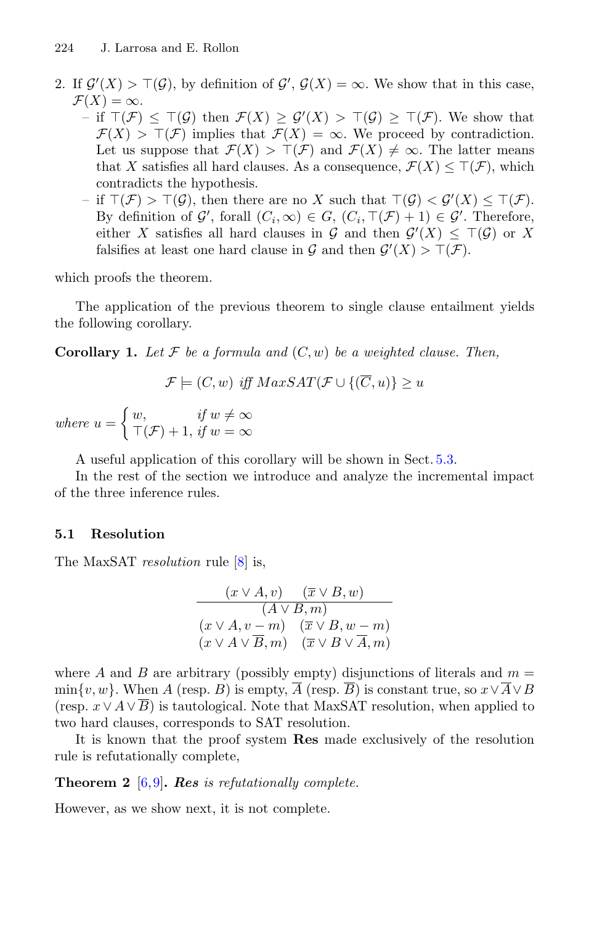- 2. If  $\mathcal{G}'(X) > \top(\mathcal{G})$ , by definition of  $\mathcal{G}', \mathcal{G}(X) = \infty$ . We show that in this case,  $\mathcal{F}(X) = \infty$ .
	- $-\text{ if }\top(\mathcal{F})\leq \top(\mathcal{G}) \text{ then } \mathcal{F}(X)\geq \mathcal{G}'(X) > \top(\mathcal{G}) \geq \top(\mathcal{F})$ . We show that  $\mathcal{F}(X) > \mathcal{T}(\mathcal{F})$  implies that  $\mathcal{F}(X) = \infty$ . We proceed by contradiction. Let us suppose that  $\mathcal{F}(X) > \mathcal{T}(\mathcal{F})$  and  $\mathcal{F}(X) \neq \infty$ . The latter means that X satisfies all hard clauses. As a consequence,  $\mathcal{F}(X) \leq \top(\mathcal{F})$ , which contradicts the hypothesis.
	- if  $\top(\mathcal{F}) > \top(\mathcal{G})$ , then there are no X such that  $\top(\mathcal{G}) < \mathcal{G}'(X) \leq \top(\mathcal{F})$ . By definition of  $\mathcal{G}'$ , forall  $(C_i, \infty) \in G$ ,  $(C_i, \top(\mathcal{F}) + 1) \in \mathcal{G}'$ . Therefore, either X satisfies all hard clauses in G and then  $\mathcal{G}'(X) \leq \top(\mathcal{G})$  or X falsifies at least one hard clause in  $\mathcal G$  and then  $\mathcal G'(X) > \top(\mathcal F)$ .

which proofs the theorem.

<span id="page-6-0"></span>The application of the previous theorem to single clause entailment yields the following corollary.

**Corollary 1.** Let  $\mathcal F$  be a formula and  $(C, w)$  be a weighted clause. Then,

$$
\mathcal{F} \models (C, w) \text{ iff } MaxSAT(\mathcal{F} \cup \{(\overline{C}, u)\} \ge u
$$

*where*  $u = \begin{cases} w, & \text{if } w \neq \infty \\ \top(\mathcal{F}) + 1 & \text{if } w = \infty \end{cases}$  $\top(\mathcal{F})+1$ , *if*  $w = \infty$ 

A useful application of this corollary will be shown in Sect. [5.3.](#page-8-0)

In the rest of the section we introduce and analyze the incremental impact of the three inference rules.

#### **5.1 Resolution**

The MaxSAT *resolution* rule [\[8](#page-14-9)] is,

$$
\frac{(x \vee A, v) \quad (\overline{x} \vee B, w)}{(A \vee B, m)}
$$

$$
(x \vee A, v - m) \quad (\overline{x} \vee B, w - m)
$$

$$
(x \vee A \vee \overline{B}, m) \quad (\overline{x} \vee B \vee \overline{A}, m)
$$

where A and B are arbitrary (possibly empty) disjunctions of literals and  $m =$  $\min\{v, w\}$ . When A (resp. B) is empty,  $\overline{A}$  (resp. B) is constant true, so  $x \vee \overline{A} \vee B$ (resp.  $x \vee A \vee B$ ) is tautological. Note that MaxSAT resolution, when applied to two hard clauses, corresponds to SAT resolution.

It is known that the proof system **Res** made exclusively of the resolution rule is refutationally complete,

#### **Theorem 2** [\[6,](#page-14-10)[9](#page-14-1)]**.** *Res is refutationally complete.*

However, as we show next, it is not complete.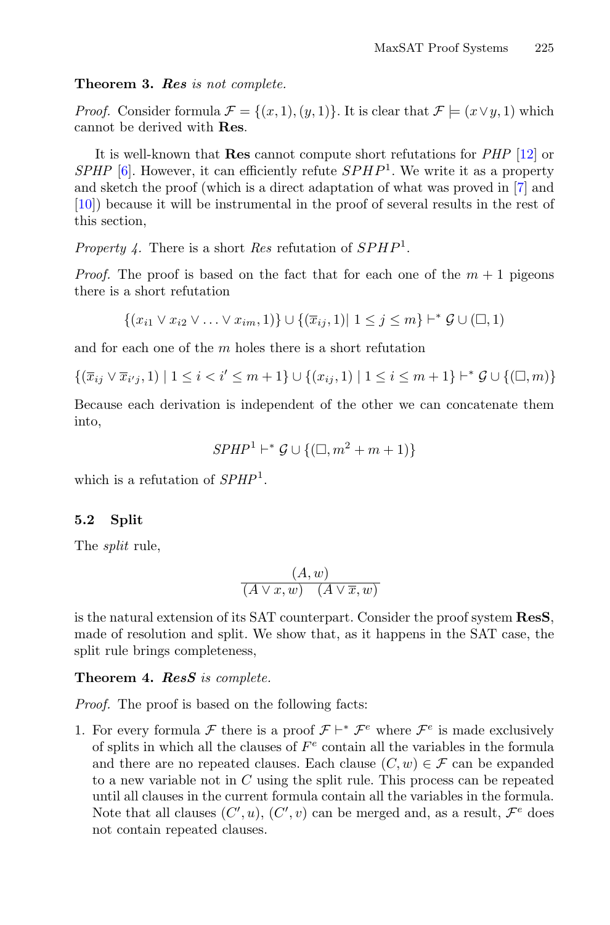#### **Theorem 3.** *Res is not complete.*

*Proof.* Consider formula  $\mathcal{F} = \{(x, 1), (y, 1)\}\$ . It is clear that  $\mathcal{F} \models (x \lor y, 1)$  which cannot be derived with **Res**.

It is well-known that **Res** cannot compute short refutations for *PHP* [\[12\]](#page-14-7) or *SPHP* [\[6](#page-14-10)]. However, it can efficiently refute  $SPHP<sup>1</sup>$ . We write it as a property and sketch the proof (which is a direct adaptation of what was proved in [\[7\]](#page-14-11) and [\[10](#page-14-5)]) because it will be instrumental in the proof of several results in the rest of this section,

<span id="page-7-0"></span>*Property 4.* There is a short *Res* refutation of SPHP<sup>1</sup>.

*Proof.* The proof is based on the fact that for each one of the  $m + 1$  pigeons there is a short refutation

$$
\{(x_{i1} \lor x_{i2} \lor \dots \lor x_{im}, 1)\} \cup \{(\overline{x}_{ij}, 1)| 1 \leq j \leq m\} \vdash^* \mathcal{G} \cup (\square, 1)
$$

and for each one of the m holes there is a short refutation

$$
\{(\overline{x}_{ij} \vee \overline{x}_{i'j}, 1) \mid 1 \le i < i' \le m+1\} \cup \{(x_{ij}, 1) \mid 1 \le i \le m+1\} \vdash^* \mathcal{G} \cup \{(\square, m)\}\
$$

Because each derivation is independent of the other we can concatenate them into,

$$
SPHP^1 \vdash^* \mathcal{G} \cup \{ (\Box, m^2 + m + 1) \}
$$

which is a refutation of *SPHP*<sup>1</sup>.

#### **5.2 Split**

The *split* rule,

$$
\frac{(A, w)}{(A \vee x, w) \quad (A \vee \overline{x}, w)}
$$

is the natural extension of its SAT counterpart. Consider the proof system **ResS**, made of resolution and split. We show that, as it happens in the SAT case, the split rule brings completeness,

#### **Theorem 4.** *ResS is complete.*

*Proof.* The proof is based on the following facts:

1. For every formula F there is a proof  $\mathcal{F} \vdash^* \mathcal{F}^e$  where  $\mathcal{F}^e$  is made exclusively of splits in which all the clauses of F*<sup>e</sup>* contain all the variables in the formula and there are no repeated clauses. Each clause  $(C, w) \in \mathcal{F}$  can be expanded to a new variable not in C using the split rule. This process can be repeated until all clauses in the current formula contain all the variables in the formula. Note that all clauses  $(C', u)$ ,  $(C', v)$  can be merged and, as a result,  $\mathcal{F}^e$  does not contain repeated clauses.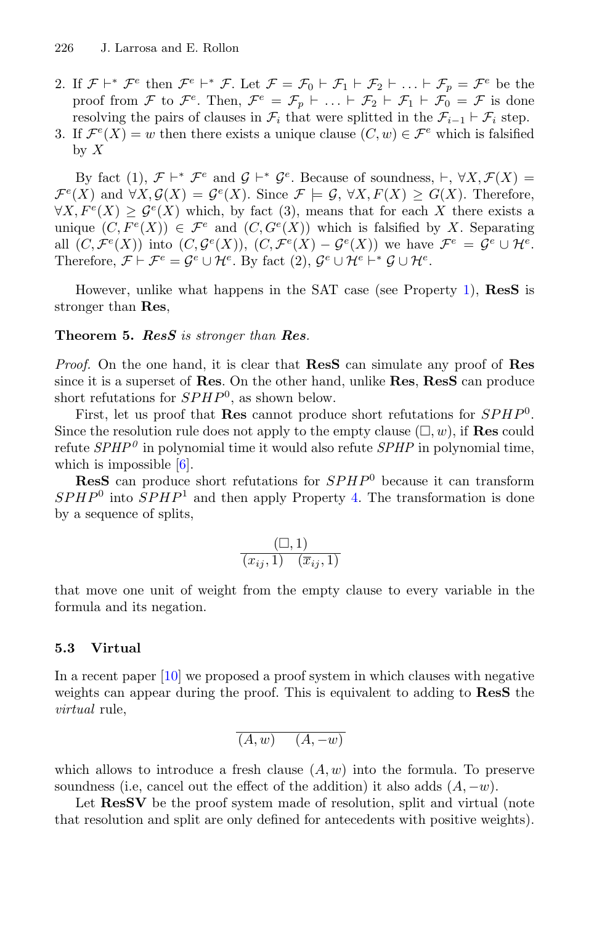- 2. If  $\mathcal{F} \vdash^* \mathcal{F}^e$  then  $\mathcal{F}^e \vdash^* \mathcal{F}$ . Let  $\mathcal{F} = \mathcal{F}_0 \vdash \mathcal{F}_1 \vdash \mathcal{F}_2 \vdash \ldots \vdash \mathcal{F}_p = \mathcal{F}^e$  be the proof from F to  $\mathcal{F}^e$ . Then,  $\mathcal{F}^e = \mathcal{F}_p \vdash ... \vdash \mathcal{F}_2 \vdash \mathcal{F}_1 \vdash \mathcal{F}_0 = \mathcal{F}$  is done resolving the pairs of clauses in  $\mathcal{F}_i$  that were splitted in the  $\mathcal{F}_{i-1} \vdash \mathcal{F}_i$  step.
- 3. If  $\mathcal{F}^e(X) = w$  then there exists a unique clause  $(C, w) \in \mathcal{F}^e$  which is falsified by  $X$

By fact (1),  $\mathcal{F} \vdash^* \mathcal{F}^e$  and  $\mathcal{G} \vdash^* \mathcal{G}^e$ . Because of soundness,  $\vdash, \forall X, \mathcal{F}(X) =$  $\mathcal{F}^e(X)$  and  $\forall X, \mathcal{G}(X) = \mathcal{G}^e(X)$ . Since  $\mathcal{F} \models \mathcal{G}, \forall X, F(X) \geq G(X)$ . Therefore,  $\forall X, F^e(X) > \mathcal{G}^e(X)$  which, by fact (3), means that for each X there exists a unique  $(C, F^e(X)) \in \mathcal{F}^e$  and  $(C, G^e(X))$  which is falsified by X. Separating all  $(C, \mathcal{F}^e(X))$  into  $(C, \mathcal{G}^e(X)),$   $(C, \mathcal{F}^e(X) - \mathcal{G}^e(X))$  we have  $\mathcal{F}^e = \mathcal{G}^e \cup \mathcal{H}^e$ . Therefore,  $\mathcal{F} \vdash \mathcal{F}^e = \mathcal{G}^e \cup \mathcal{H}^e$ . By fact (2),  $\mathcal{G}^e \cup \mathcal{H}^e \vdash^* \mathcal{G} \cup \mathcal{H}^e$ .

However, unlike what happens in the SAT case (see Property [1\)](#page-2-0), **ResS** is stronger than **Res**,

#### **Theorem 5.** *ResS is stronger than Res.*

*Proof.* On the one hand, it is clear that **ResS** can simulate any proof of **Res** since it is a superset of **Res**. On the other hand, unlike **Res**, **ResS** can produce short refutations for  $SPHP<sup>0</sup>$ , as shown below.

First, let us proof that **Res** cannot produce short refutations for SPHP<sup>0</sup>. Since the resolution rule does not apply to the empty clause  $(\Box, w)$ , if **Res** could refute *SPHP<sup>0</sup>* in polynomial time it would also refute *SPHP* in polynomial time, which is impossible  $[6]$  $[6]$ .

**ResS** can produce short refutations for SPHP<sup>0</sup> because it can transform  $SPHP<sup>0</sup>$  into  $SPHP<sup>1</sup>$  and then apply Property [4.](#page-7-0) The transformation is done by a sequence of splits,

$$
\frac{(\square, 1)}{(x_{ij}, 1) \quad (\overline{x}_{ij}, 1)}
$$

that move one unit of weight from the empty clause to every variable in the formula and its negation.

#### <span id="page-8-0"></span>**5.3 Virtual**

In a recent paper [\[10](#page-14-5)] we proposed a proof system in which clauses with negative weights can appear during the proof. This is equivalent to adding to **ResS** the *virtual* rule,

$$
(A, w) \quad (A, -w)
$$

which allows to introduce a fresh clause  $(A, w)$  into the formula. To preserve soundness (i.e, cancel out the effect of the addition) it also adds  $(A, -w)$ .

Let **ResSV** be the proof system made of resolution, split and virtual (note that resolution and split are only defined for antecedents with positive weights).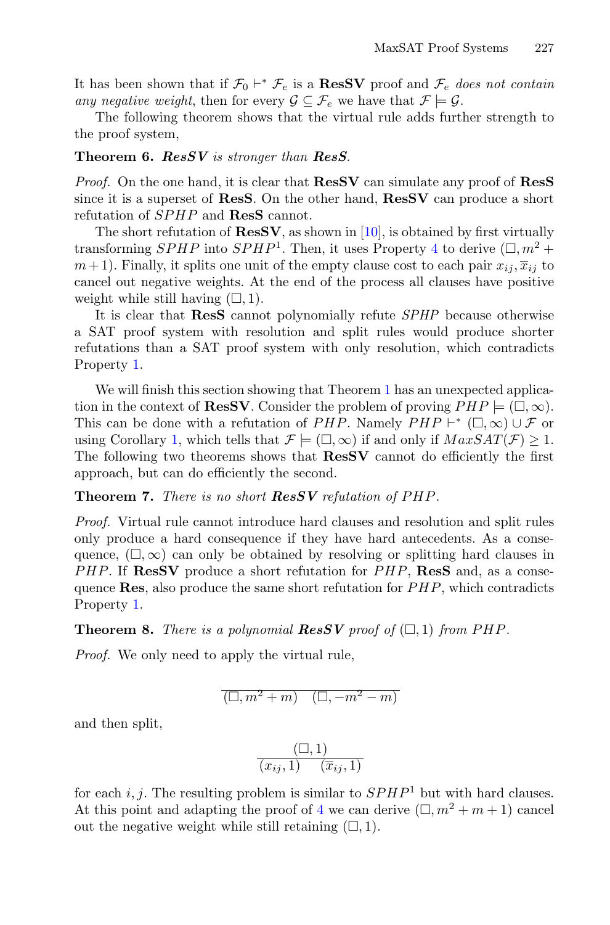It has been shown that if  $\mathcal{F}_0$   $\vdash^* \mathcal{F}_e$  is a **ResSV** proof and  $\mathcal{F}_e$  *does not contain any negative weight*, then for every  $\mathcal{G} \subseteq \mathcal{F}_e$  we have that  $\mathcal{F} \models \mathcal{G}$ .

The following theorem shows that the virtual rule adds further strength to the proof system,

#### **Theorem 6.** *ResSV is stronger than ResS.*

*Proof.* On the one hand, it is clear that **ResSV** can simulate any proof of **ResS** since it is a superset of **ResS**. On the other hand, **ResSV** can produce a short refutation of SPHP and **ResS** cannot.

The short refutation of **ResSV**, as shown in [\[10](#page-14-5)], is obtained by first virtually transforming  $SPHP$  into  $SPHP<sup>1</sup>$ . Then, it uses Property [4](#page-7-0) to derive  $(\Box, m^2 +$  $m+1$ ). Finally, it splits one unit of the empty clause cost to each pair  $x_{ij}, \overline{x}_{ij}$  to cancel out negative weights. At the end of the process all clauses have positive weight while still having  $(\square, 1)$ .

It is clear that **ResS** cannot polynomially refute *SPHP* because otherwise a SAT proof system with resolution and split rules would produce shorter refutations than a SAT proof system with only resolution, which contradicts Property [1.](#page-2-0)

We will finish this section showing that Theorem [1](#page-5-1) has an unexpected application in the context of **ResSV**. Consider the problem of proving  $PHP \models (\Box, \infty)$ . This can be done with a refutation of  $PHP$ . Namely  $PHP \vdash^* (\Box, \infty) \cup \mathcal{F}$  or using Corollary [1,](#page-6-0) which tells that  $\mathcal{F} \models (\Box, \infty)$  if and only if  $MaxSAT(\mathcal{F}) \geq 1$ . The following two theorems shows that **ResSV** cannot do efficiently the first approach, but can do efficiently the second.

**Theorem 7.** *There is no short ResSV refutation of* PHP*.*

*Proof.* Virtual rule cannot introduce hard clauses and resolution and split rules only produce a hard consequence if they have hard antecedents. As a consequence,  $(\Box, \infty)$  can only be obtained by resolving or splitting hard clauses in PHP. If **ResSV** produce a short refutation for PHP, **ResS** and, as a consequence **Res**, also produce the same short refutation for PHP, which contradicts Property [1.](#page-2-0)

**Theorem 8.** *There is a polynomial*  $\text{Res}S$ V *proof of*  $(\Box, 1)$  *from PHP*.

*Proof.* We only need to apply the virtual rule,

$$
(\Box, m^2 + m) \quad (\Box, -m^2 - m)
$$

and then split,

$$
\frac{(\square, 1)}{(x_{ij}, 1) \quad (\overline{x}_{ij}, 1)}
$$

for each i, j. The resulting problem is similar to  $SPHP<sup>1</sup>$  but with hard clauses. At this point and adapting the proof of [4](#page-7-0) we can derive  $(\square, m^2 + m + 1)$  cancel out the negative weight while still retaining  $(\Box, 1)$ .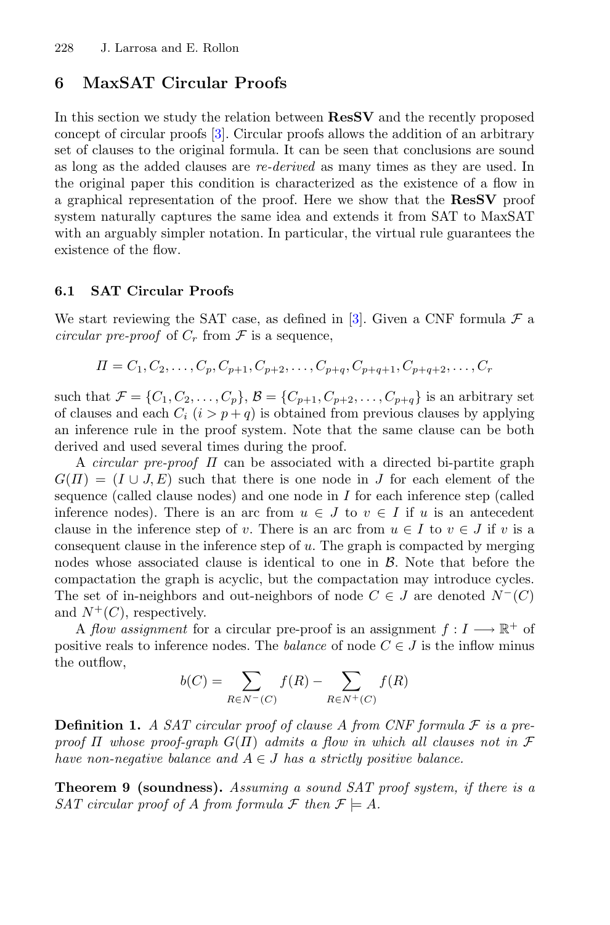# <span id="page-10-0"></span>**6 MaxSAT Circular Proofs**

In this section we study the relation between **ResSV** and the recently proposed concept of circular proofs [\[3\]](#page-14-6). Circular proofs allows the addition of an arbitrary set of clauses to the original formula. It can be seen that conclusions are sound as long as the added clauses are *re-derived* as many times as they are used. In the original paper this condition is characterized as the existence of a flow in a graphical representation of the proof. Here we show that the **ResSV** proof system naturally captures the same idea and extends it from SAT to MaxSAT with an arguably simpler notation. In particular, the virtual rule guarantees the existence of the flow.

#### **6.1 SAT Circular Proofs**

We start reviewing the SAT case, as defined in [\[3\]](#page-14-6). Given a CNF formula  $\mathcal F$  a *circular pre-proof* of  $C_r$  from  $\mathcal F$  is a sequence,

$$
\Pi = C_1, C_2, \dots, C_p, C_{p+1}, C_{p+2}, \dots, C_{p+q}, C_{p+q+1}, C_{p+q+2}, \dots, C_r
$$

such that  $\mathcal{F} = \{C_1, C_2, \ldots, C_p\}, \mathcal{B} = \{C_{p+1}, C_{p+2}, \ldots, C_{p+q}\}$  is an arbitrary set of clauses and each  $C_i$  ( $i>p+q$ ) is obtained from previous clauses by applying an inference rule in the proof system. Note that the same clause can be both derived and used several times during the proof.

A *circular pre-proof* Π can be associated with a directed bi-partite graph  $G(\Pi)=(I\cup J, E)$  such that there is one node in J for each element of the sequence (called clause nodes) and one node in  $I$  for each inference step (called inference nodes). There is an arc from  $u \in J$  to  $v \in I$  if u is an antecedent clause in the inference step of v. There is an arc from  $u \in I$  to  $v \in J$  if v is a consequent clause in the inference step of u. The graph is compacted by merging nodes whose associated clause is identical to one in  $\beta$ . Note that before the compactation the graph is acyclic, but the compactation may introduce cycles. The set of in-neighbors and out-neighbors of node  $C \in J$  are denoted  $N^-(C)$ and  $N^+(C)$ , respectively.

A *flow assignment* for a circular pre-proof is an assignment  $f: I \longrightarrow \mathbb{R}^+$  of positive reals to inference nodes. The *balance* of node  $C \in J$  is the inflow minus the outflow,

$$
b(C) = \sum_{R \in N^{-}(C)} f(R) - \sum_{R \in N^{+}(C)} f(R)
$$

**Definition 1.** *A SAT circular proof of clause A from CNF formula*  $F$  *is a preproof* Π *whose proof-graph* G(Π) *admits a flow in which all clauses not in* F *have non-negative balance and*  $A \in J$  *has a strictly positive balance.* 

**Theorem 9 (soundness).** *Assuming a sound SAT proof system, if there is a SAT circular proof of A from formula*  $\mathcal{F}$  *then*  $\mathcal{F} \models A$ *.*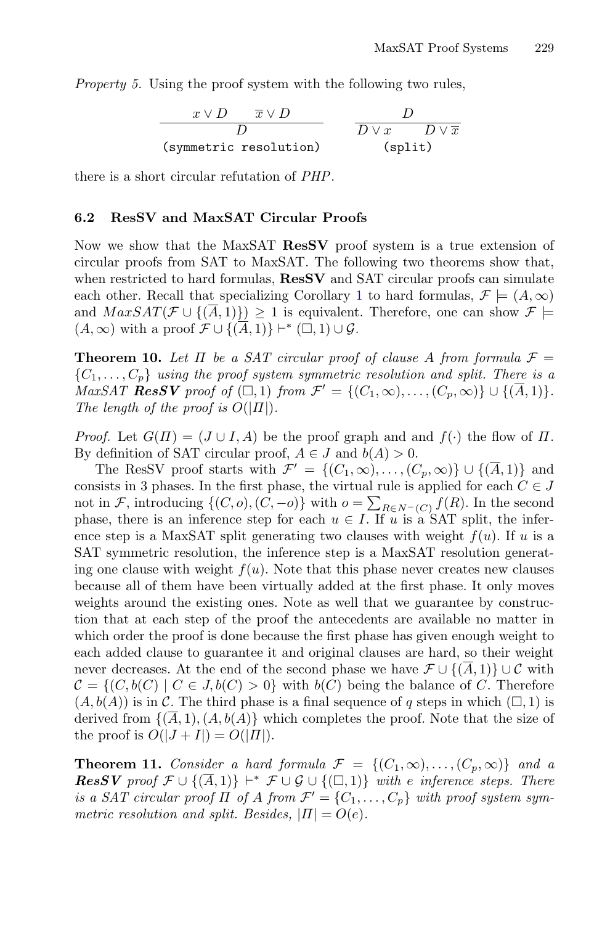*Property 5.* Using the proof system with the following two rules,

$$
\begin{array}{ccc}\n x \lor D & \overline{x} \lor D & \\
\hline\nD & & \overline{D \lor x} & D \lor \overline{x} \\
 \hline\n \text{(symmetric resolution)} & & \text{(split)}\n\end{array}
$$

there is a short circular refutation of *PHP*.

#### **6.2 ResSV and MaxSAT Circular Proofs**

Now we show that the MaxSAT **ResSV** proof system is a true extension of circular proofs from SAT to MaxSAT. The following two theorems show that, when restricted to hard formulas, **ResSV** and SAT circular proofs can simulate each other. Recall that specializing Corollary [1](#page-6-0) to hard formulas,  $\mathcal{F} \models (A,\infty)$ and  $MaxSAT(\mathcal{F} \cup \{(\overline{A}, 1)\}) \geq 1$  is equivalent. Therefore, one can show  $\mathcal{F} \models$  $(A, \infty)$  with a proof  $\mathcal{F} \cup \{(A, 1)\} \vdash^* (\square, 1) \cup \mathcal{G}.$ 

**Theorem 10.** Let  $\Pi$  be a SAT circular proof of clause A from formula  $\mathcal{F} =$  ${C_1, \ldots, C_p}$  *using the proof system symmetric resolution and split. There is a MaxSAT ResSV* proof of  $(\Box, 1)$  from  $\mathcal{F}' = \{(C_1, \infty), \ldots, (C_p, \infty)\} \cup \{(A, 1)\}.$ *The length of the proof is*  $O(|\Pi|)$ *.* 

*Proof.* Let  $G(\Pi) = (J \cup I, A)$  be the proof graph and and  $f(\cdot)$  the flow of  $\Pi$ . By definition of SAT circular proof,  $A \in J$  and  $b(A) > 0$ .

The ResSV proof starts with  $\mathcal{F}' = \{(C_1,\infty),\ldots,(C_p,\infty)\} \cup \{(\overline{A},1)\}$  and consists in 3 phases. In the first phase, the virtual rule is applied for each  $C \in J$ not in F, introducing  $\{(C, o), (C, -o)\}\$  with  $o = \sum_{R \in N^{-1}(C)} f(R)$ . In the second phase, there is an inference step for each  $u \in I$ . If u is a SAT split, the inference step is a MaxSAT split generating two clauses with weight  $f(u)$ . If u is a SAT symmetric resolution, the inference step is a MaxSAT resolution generating one clause with weight  $f(u)$ . Note that this phase never creates new clauses because all of them have been virtually added at the first phase. It only moves weights around the existing ones. Note as well that we guarantee by construction that at each step of the proof the antecedents are available no matter in which order the proof is done because the first phase has given enough weight to each added clause to guarantee it and original clauses are hard, so their weight never decreases. At the end of the second phase we have  $\mathcal{F}\cup\{\overline{(A,1)}\}\cup\mathcal{C}$  with  $C = \{ (C, b(C) \mid C \in J, b(C) > 0 \}$  with  $b(C)$  being the balance of C. Therefore  $(A, b(A))$  is in C. The third phase is a final sequence of q steps in which  $(\Box, 1)$  is derived from  $\{(A, 1), (A, b(A))\}$  which completes the proof. Note that the size of the proof is  $O(|J+I|) = O(|\Pi|)$ .

**Theorem 11.** *Consider a hard formula*  $\mathcal{F} = \{(C_1, \infty), \ldots, (C_p, \infty)\}$  *and a* **ResSV** proof  $\mathcal{F} \cup \{(A,1)\}$   $\vdash^* \mathcal{F} \cup \mathcal{G} \cup \{(\Box,1)\}$  with e inference steps. There *is a SAT circular proof*  $\Pi$  *of*  $A$  *from*  $\mathcal{F}' = \{C_1, \ldots, C_p\}$  *with proof system symmetric resolution and split. Besides,*  $| \Pi | = O(e)$ *.*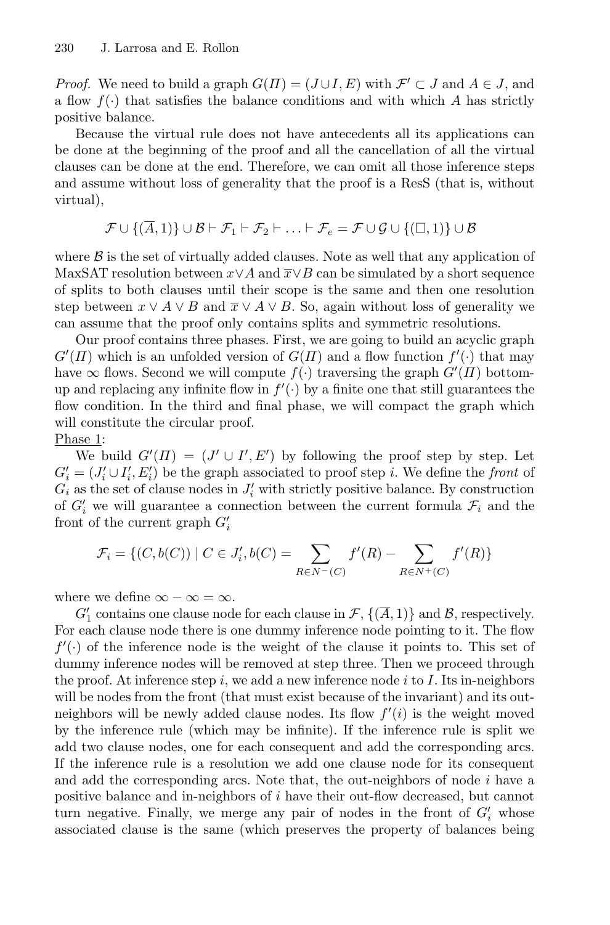*Proof.* We need to build a graph  $G(\Pi) = (J \cup I, E)$  with  $\mathcal{F}' \subset J$  and  $A \in J$ , and a flow  $f(.)$  that satisfies the balance conditions and with which A has strictly positive balance.

Because the virtual rule does not have antecedents all its applications can be done at the beginning of the proof and all the cancellation of all the virtual clauses can be done at the end. Therefore, we can omit all those inference steps and assume without loss of generality that the proof is a ResS (that is, without virtual),

$$
\mathcal{F} \cup \{(\overline{A},1)\} \cup \mathcal{B} \vdash \mathcal{F}_1 \vdash \mathcal{F}_2 \vdash \ldots \vdash \mathcal{F}_e = \mathcal{F} \cup \mathcal{G} \cup \{(\square,1)\} \cup \mathcal{B}
$$

where  $\beta$  is the set of virtually added clauses. Note as well that any application of MaxSAT resolution between  $x \vee A$  and  $\overline{x} \vee B$  can be simulated by a short sequence of splits to both clauses until their scope is the same and then one resolution step between  $x \vee A \vee B$  and  $\overline{x} \vee A \vee B$ . So, again without loss of generality we can assume that the proof only contains splits and symmetric resolutions.

Our proof contains three phases. First, we are going to build an acyclic graph  $G'(H)$  which is an unfolded version of  $G(H)$  and a flow function  $f'(\cdot)$  that may have  $\infty$  flows. Second we will compute  $f(\cdot)$  traversing the graph  $G'(H)$  bottomup and replacing any infinite flow in  $f'(\cdot)$  by a finite one that still guarantees the flow condition. In the third and final phase, we will compact the graph which will constitute the circular proof.

#### Phase 1:

We build  $G'(II) = (J' \cup I', E')$  by following the proof step by step. Let  $G'_{i} = (J'_{i} \cup I'_{i}, E'_{i})$  be the graph associated to proof step *i*. We define the *front* of  $G_i$  as the set of clause nodes in  $J'_i$  with strictly positive balance. By construction of  $G'_{i}$  we will guarantee a connection between the current formula  $\mathcal{F}_{i}$  and the front of the current graph G *i*

$$
\mathcal{F}_i = \{ (C, b(C)) \mid C \in J'_i, b(C) = \sum_{R \in N^-(C)} f'(R) - \sum_{R \in N^+(C)} f'(R) \}
$$

where we define  $\infty - \infty = \infty$ .

 $G'_{1}$  contains one clause node for each clause in  $\mathcal{F}, \{(A, 1)\}\$  and  $\mathcal{B}$ , respectively. For each clause node there is one dummy inference node pointing to it. The flow  $f'(\cdot)$  of the inference node is the weight of the clause it points to. This set of dummy inference nodes will be removed at step three. Then we proceed through the proof. At inference step  $i$ , we add a new inference node  $i$  to  $I$ . Its in-neighbors will be nodes from the front (that must exist because of the invariant) and its outneighbors will be newly added clause nodes. Its flow  $f'(i)$  is the weight moved by the inference rule (which may be infinite). If the inference rule is split we add two clause nodes, one for each consequent and add the corresponding arcs. If the inference rule is a resolution we add one clause node for its consequent and add the corresponding arcs. Note that, the out-neighbors of node  $i$  have a positive balance and in-neighbors of i have their out-flow decreased, but cannot turn negative. Finally, we merge any pair of nodes in the front of  $G'_{i}$  whose associated clause is the same (which preserves the property of balances being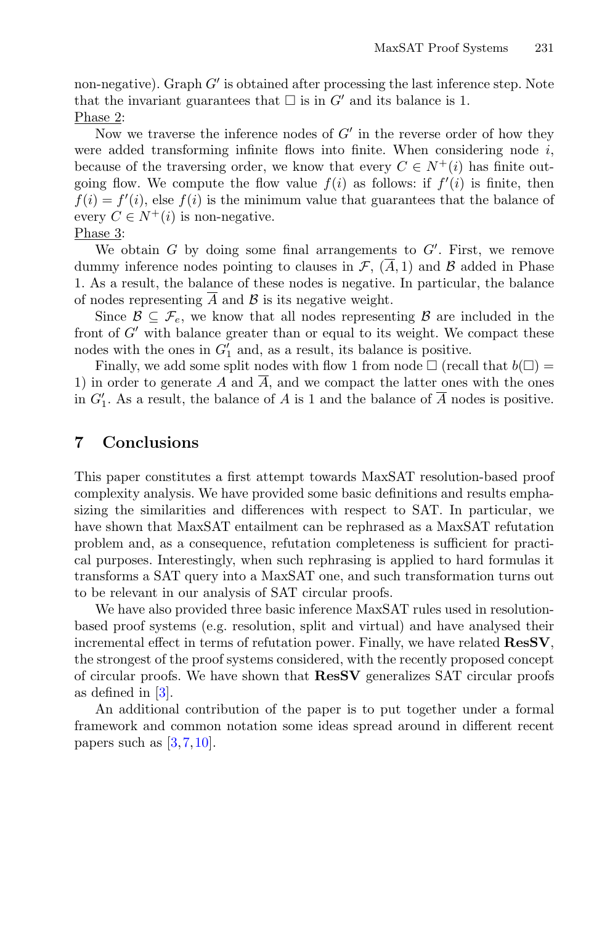non-negative). Graph  $G'$  is obtained after processing the last inference step. Note that the invariant guarantees that  $\Box$  is in  $G'$  and its balance is 1. Phase 2:

Now we traverse the inference nodes of  $G'$  in the reverse order of how they were added transforming infinite flows into finite. When considering node  $i$ , because of the traversing order, we know that every  $C \in N^+(i)$  has finite outgoing flow. We compute the flow value  $f(i)$  as follows: if  $f'(i)$  is finite, then  $f(i) = f'(i)$ , else  $f(i)$  is the minimum value that guarantees that the balance of every  $C \in N^+(i)$  is non-negative.

#### Phase 3:

We obtain  $G$  by doing some final arrangements to  $G'$ . First, we remove dummy inference nodes pointing to clauses in  $\mathcal{F}, (\overline{A}, 1)$  and  $\mathcal{B}$  added in Phase 1. As a result, the balance of these nodes is negative. In particular, the balance of nodes representing  $\overline{A}$  and  $\overline{B}$  is its negative weight.

Since  $\mathcal{B} \subseteq \mathcal{F}_e$ , we know that all nodes representing  $\mathcal{B}$  are included in the front of  $G'$  with balance greater than or equal to its weight. We compact these nodes with the ones in  $G_1'$  and, as a result, its balance is positive.

Finally, we add some split nodes with flow 1 from node  $\Box$  (recall that  $b(\Box)$ ) 1) in order to generate A and A, and we compact the latter ones with the ones in  $G'_{1}$ . As a result, the balance of A is 1 and the balance of A nodes is positive.

# <span id="page-13-0"></span>**7 Conclusions**

This paper constitutes a first attempt towards MaxSAT resolution-based proof complexity analysis. We have provided some basic definitions and results emphasizing the similarities and differences with respect to SAT. In particular, we have shown that MaxSAT entailment can be rephrased as a MaxSAT refutation problem and, as a consequence, refutation completeness is sufficient for practical purposes. Interestingly, when such rephrasing is applied to hard formulas it transforms a SAT query into a MaxSAT one, and such transformation turns out to be relevant in our analysis of SAT circular proofs.

We have also provided three basic inference MaxSAT rules used in resolutionbased proof systems (e.g. resolution, split and virtual) and have analysed their incremental effect in terms of refutation power. Finally, we have related **ResSV**, the strongest of the proof systems considered, with the recently proposed concept of circular proofs. We have shown that **ResSV** generalizes SAT circular proofs as defined in [\[3](#page-14-6)].

An additional contribution of the paper is to put together under a formal framework and common notation some ideas spread around in different recent papers such as  $[3,7,10]$  $[3,7,10]$  $[3,7,10]$  $[3,7,10]$ .